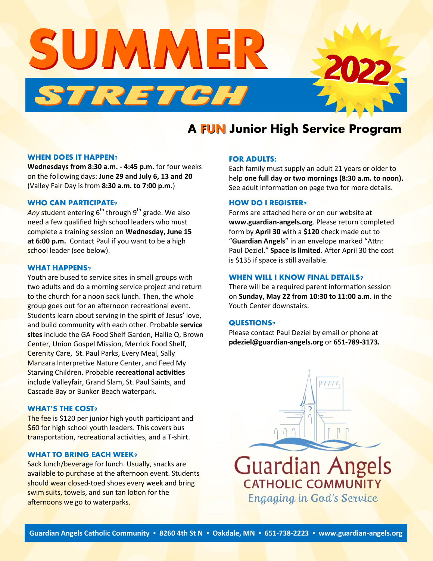

## **A FUN Junior High Service Program**

#### **WHEN DOES IT HAPPEN?**

**Wednesdays from 8:30 a.m. - 4:45 p.m.** for four weeks on the following days: **June 29 and July 6, 13 and 20**  (Valley Fair Day is from **8:30 a.m. to 7:00 p.m.**)

### **WHO CAN PARTICIPATE?**

Any student entering 6<sup>th</sup> through 9<sup>th</sup> grade. We also need a few qualified high school leaders who must complete a training session on **Wednesday, June 15 at 6:00 p.m.** Contact Paul if you want to be a high school leader (see below).

#### **WHAT HAPPENS?**

Youth are bused to service sites in small groups with two adults and do a morning service project and return to the church for a noon sack lunch. Then, the whole group goes out for an afternoon recreational event. Students learn about serving in the spirit of Jesus' love, and build community with each other. Probable **service sites** include the GA Food Shelf Garden, Hallie Q. Brown Center, Union Gospel Mission, Merrick Food Shelf, Cerenity Care, St. Paul Parks, Every Meal, Sally Manzara Interpretive Nature Center, and Feed My Starving Children. Probable **recreational activities** include Valleyfair, Grand Slam, St. Paul Saints, and Cascade Bay or Bunker Beach waterpark.

## **WHAT'S THE COST?**

The fee is \$120 per junior high youth participant and \$60 for high school youth leaders. This covers bus transportation, recreational activities, and a T-shirt.

### **WHAT TO BRING EACH WEEK?**

Sack lunch/beverage for lunch. Usually, snacks are available to purchase at the afternoon event. Students should wear closed-toed shoes every week and bring swim suits, towels, and sun tan lotion for the afternoons we go to waterparks.

#### **FOR ADULTS:**

Each family must supply an adult 21 years or older to help **one full day or two mornings (8:30 a.m. to noon).** See adult information on page two for more details.

## **HOW DO I REGISTER?**

Forms are attached here or on our website at **[www.guardian](http://www.guardian-angels.org)-angels.org**. Please return completed form by **April 30** with a **\$120** check made out to "**Guardian Angels**" in an envelope marked "Attn: Paul Deziel." **Space is limited.** After April 30 the cost is \$135 if space is still available.

## **WHEN WILL I KNOW FINAL DETAILS?**

There will be a required parent information session on **Sunday, May 22 from 10:30 to 11:00 a.m.** in the Youth Center downstairs.

### **QUESTIONS?**

Please contact Paul Deziel by email or phone at **[pdeziel@guardian](mailto:pdeziel@guardian-angels.org)-angels.org** or **651-789-3173.**

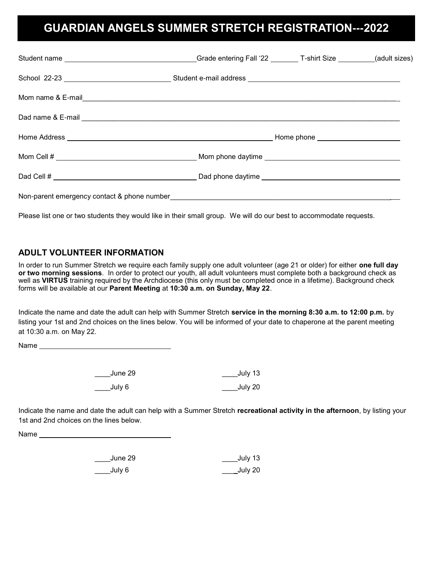## **GUARDIAN ANGELS SUMMER STRETCH REGISTRATION---2022**

Please list one or two students they would like in their small group. We will do our best to accommodate requests.

## **ADULT VOLUNTEER INFORMATION**

In order to run Summer Stretch we require each family supply one adult volunteer (age 21 or older) for either **one full day or two morning sessions**. In order to protect our youth, all adult volunteers must complete both a background check as well as **VIRTUS** training required by the Archdiocese (this only must be completed once in a lifetime). Background check forms will be available at our **Parent Meeting** at **10:30 a.m. on Sunday, May 22**.

Indicate the name and date the adult can help with Summer Stretch **service in the morning 8:30 a.m. to 12:00 p.m.** by listing your 1st and 2nd choices on the lines below. You will be informed of your date to chaperone at the parent meeting at 10:30 a.m. on May 22.

Name and the state of the state of the state of the state of the state of the state of the state of the state of the state of the state of the state of the state of the state of the state of the state of the state of the s

| June 29 | July 13 |
|---------|---------|
| July 6  | July 20 |

Indicate the name and date the adult can help with a Summer Stretch **recreational activity in the afternoon**, by listing your 1st and 2nd choices on the lines below.

Name

| June 29 | July 13        |
|---------|----------------|
| July 6  | <b>July 20</b> |